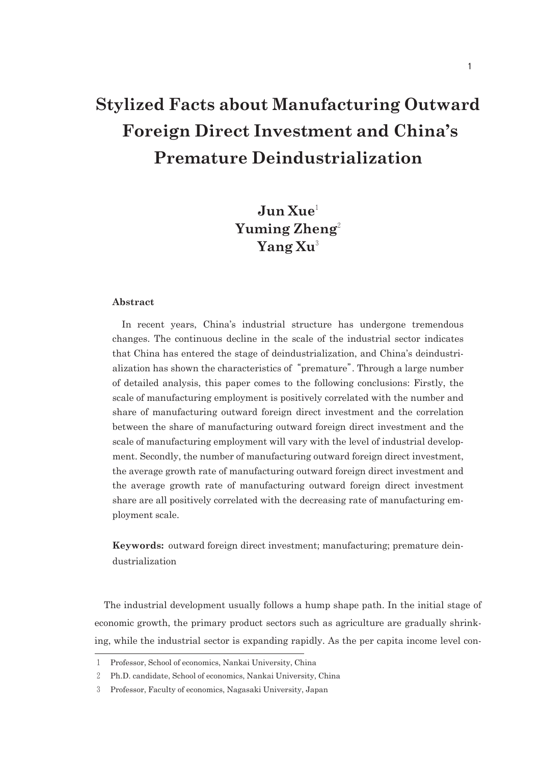# **Stylized Facts about Manufacturing Outward Foreign Direct Investment and China's Premature Deindustrialization**

## **Jun Xue**<sup>1</sup> Yuming Zheng<sup>2</sup> **Yang Xu**<sup>3</sup>

#### **Abstract**

In recent years, China's industrial structure has undergone tremendous changes. The continuous decline in the scale of the industrial sector indicates that China has entered the stage of deindustrialization, and China's deindustrialization has shown the characteristics of"premature". Through a large number of detailed analysis, this paper comes to the following conclusions: Firstly, the scale of manufacturing employment is positively correlated with the number and share of manufacturing outward foreign direct investment and the correlation between the share of manufacturing outward foreign direct investment and the scale of manufacturing employment will vary with the level of industrial development. Secondly, the number of manufacturing outward foreign direct investment, the average growth rate of manufacturing outward foreign direct investment and the average growth rate of manufacturing outward foreign direct investment share are all positively correlated with the decreasing rate of manufacturing employment scale.

**Keywords:** outward foreign direct investment; manufacturing; premature deindustrialization

The industrial development usually follows a hump shape path. In the initial stage of economic growth, the primary product sectors such as agriculture are gradually shrinking, while the industrial sector is expanding rapidly. As the per capita income level con

<sup>1</sup> Professor, School of economics, Nankai University, China

<sup>2</sup> Ph.D. candidate, School of economics, Nankai University, China

<sup>3</sup> Professor, Faculty of economics, Nagasaki University, Japan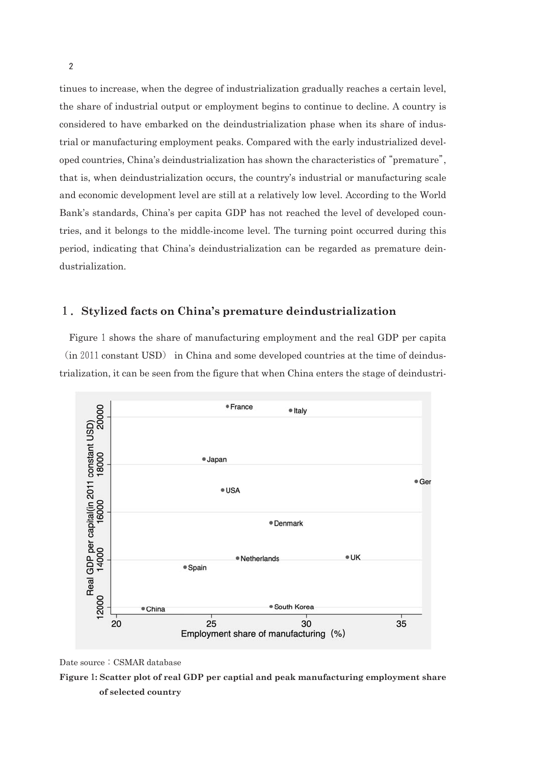tinues to increase, when the degree of industrialization gradually reaches a certain level, the share of industrial output or employment begins to continue to decline. A country is considered to have embarked on the deindustrialization phase when its share of industrial or manufacturing employment peaks. Compared with the early industrialized developed countries, China's deindustrialization has shown the characteristics of"premature", that is, when deindustrialization occurs, the country's industrial or manufacturing scale and economic development level are still at a relatively low level. According to the World Bank's standards, China's per capita GDP has not reached the level of developed countries, and it belongs to the middle-income level. The turning point occurred during this period, indicating that China's deindustrialization can be regarded as premature deindustrialization.

### 1.**Stylized facts on China's premature deindustrialization**

Figure 1 shows the share of manufacturing employment and the real GDP per capita  $(in 2011 constant USD)$  in China and some developed countries at the time of deindustrialization, it can be seen from the figure that when China enters the stage of deindustri



Date source: CSMAR database

**Figure**1**: Scatter plot of real GDP per captial and peak manufacturing employment share of selected country**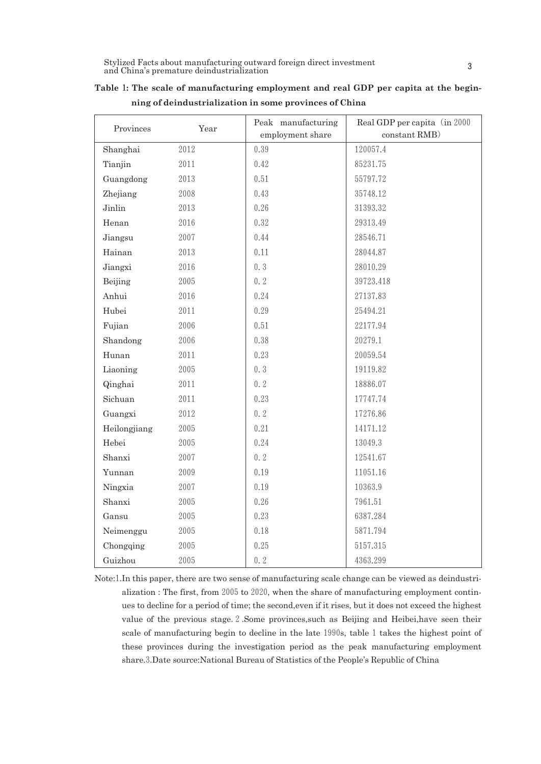| Provinces    | Year     | Peak manufacturing | Real GDP per capita (in 2000 |  |  |  |
|--------------|----------|--------------------|------------------------------|--|--|--|
|              |          | employment share   | constant RMB)                |  |  |  |
| Shanghai     | 2012     | 0.39               | 120057.4                     |  |  |  |
| Tianjin      | 2011     | 0.42               | 85231.75                     |  |  |  |
| Guangdong    | 2013     | 0.51               | 55797.72                     |  |  |  |
| Zhejiang     | 2008     | 0.43               | 35748.12                     |  |  |  |
| Jinlin       | 2013     | 0.26               | 31393.32                     |  |  |  |
| Henan        | 2016     | 0.32               | 29313.49                     |  |  |  |
| Jiangsu      | 2007     | 0.44               | 28546.71                     |  |  |  |
| Hainan       | 2013     | 0.11               | 28044.87                     |  |  |  |
| Jiangxi      | 2016     | 0.3                | 28010.29                     |  |  |  |
| Beijing      | $2005\,$ | 0.2                | 39723.418                    |  |  |  |
| Anhui        | 2016     | 0.24               | 27137.83                     |  |  |  |
| Hubei        | 2011     | 0.29               | 25494.21                     |  |  |  |
| Fujian       | 2006     | 0.51               | 22177.94                     |  |  |  |
| Shandong     | 2006     | 0.38               | 20279.1                      |  |  |  |
| Hunan        | 2011     | 0.23               | 20059.54                     |  |  |  |
| Liaoning     | 2005     | 0.3                | 19119.82                     |  |  |  |
| Qinghai      | 2011     | 0.2                | 18886.07                     |  |  |  |
| Sichuan      | 2011     | 0.23               | 17747.74                     |  |  |  |
| Guangxi      | 2012     | 0.2                | 17276.86                     |  |  |  |
| Heilongjiang | 2005     | 0.21               | 14171.12                     |  |  |  |
| Hebei        | 2005     | 0.24               | 13049.3                      |  |  |  |
| Shanxi       | 2007     | 0.2                | 12541.67                     |  |  |  |
| Yunnan       | 2009     | 0.19               | 11051.16                     |  |  |  |
| Ningxia      | 2007     | 0.19               | 10363.9                      |  |  |  |
| Shanxi       | 2005     | 0.26               | 7961.51                      |  |  |  |
| Gansu        | 2005     | 0.23               | 6387.284                     |  |  |  |
| Neimenggu    | 2005     | 0.18               | 5871.794                     |  |  |  |
| Chongqing    | 2005     | 0.25               | 5157.315                     |  |  |  |
| Guizhou      | 2005     | 0.2                | 4363.299                     |  |  |  |

|  |  | Table 1: The scale of manufacturing employment and real GDP per capita at the begin- |  |  |  |  |  |
|--|--|--------------------------------------------------------------------------------------|--|--|--|--|--|
|  |  | ning of deindustrialization in some provinces of China                               |  |  |  |  |  |

Note:1.In this paper, there are two sense of manufacturing scale change can be viewed as deindustrialization : The first, from 2005 to 2020, when the share of manufacturing employment continues to decline for a period of time; the second,even if it rises, but it does not exceed the highest value of the previous stage.2.Some provinces,such as Beijing and Heibei,have seen their scale of manufacturing begin to decline in the late 1990s, table 1 takes the highest point of these provinces during the investigation period as the peak manufacturing employment share.3.Date source:National Bureau of Statistics of the People's Republic of China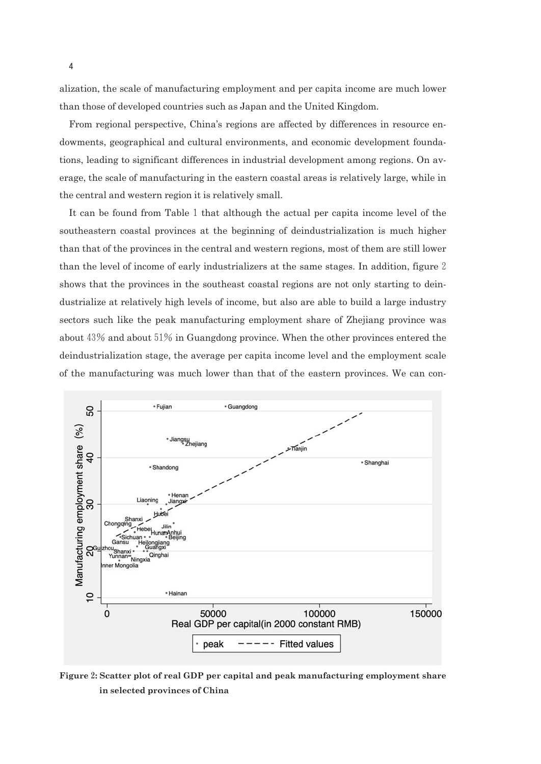alization, the scale of manufacturing employment and per capita income are much lower than those of developed countries such as Japan and the United Kingdom.

From regional perspective, China's regions are affected by differences in resource endowments, geographical and cultural environments, and economic development foundations, leading to significant differences in industrial development among regions. On average, the scale of manufacturing in the eastern coastal areas is relatively large, while in the central and western region it is relatively small.

It can be found from Table 1 that although the actual per capita income level of the southeastern coastal provinces at the beginning of deindustrialization is much higher than that of the provinces in the central and western regions, most of them are still lower than the level of income of early industrializers at the same stages. In addition, figure 2 shows that the provinces in the southeast coastal regions are not only starting to deindustrialize at relatively high levels of income, but also are able to build a large industry sectors such like the peak manufacturing employment share of Zhejiang province was about  $43\%$  and about  $51\%$  in Guangdong province. When the other provinces entered the deindustrialization stage, the average per capita income level and the employment scale of the manufacturing was much lower than that of the eastern provinces. We can con



**Figure**2**: Scatter plot of real GDP per capital and peak manufacturing employment share in selected provinces of China**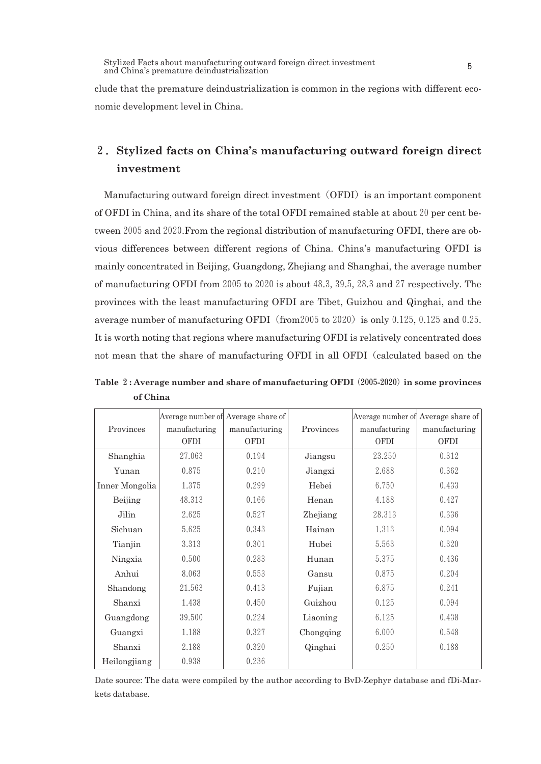clude that the premature deindustrialization is common in the regions with different economic development level in China.

### 2.**Stylized facts on China's manufacturing outward foreign direct investment**

Manufacturing outward foreign direct investment (OFDI) is an important component of OFDI in China, and its share of the total OFDI remained stable at about  $20$  per cent between 2005 and 2020. From the regional distribution of manufacturing OFDI, there are obvious differences between different regions of China. China's manufacturing OFDI is mainly concentrated in Beijing, Guangdong, Zhejiang and Shanghai, the average number of manufacturing OFDI from  $2005$  to  $2020$  is about  $48.3, 39.5, 28.3$  and  $27$  respectively. The provinces with the least manufacturing OFDI are Tibet, Guizhou and Qinghai, and the average number of manufacturing OFDI (from 2005 to 2020) is only 0.125, 0.125 and 0.25. It is worth noting that regions where manufacturing OFDI is relatively concentrated does not mean that the share of manufacturing OFDI in all OFDI (calculated based on the

|                | Average number of Average share of |               |           | Average number of Average share of |               |  |  |
|----------------|------------------------------------|---------------|-----------|------------------------------------|---------------|--|--|
| Provinces      | manufacturing                      | manufacturing | Provinces | manufacturing                      | manufacturing |  |  |
|                | OFDI                               | OFDI          |           | OFDI                               | OFDI          |  |  |
| Shanghia       | 27.063                             | 0.194         | Jiangsu   | 23.250                             | 0.312         |  |  |
| Yunan          | 0.875                              | 0.210         | Jiangxi   | 2.688                              | 0.362         |  |  |
| Inner Mongolia | 1.375                              | 0.299         | Hebei     | 6.750                              | 0.433         |  |  |
| Beijing        | 48.313                             | 0.166         | Henan     | 4.188                              | 0.427         |  |  |
| Jilin          | 2.625                              | 0.527         | Zhejiang  | 28.313                             | 0.336         |  |  |
| Sichuan        | 5.625                              | 0.343         | Hainan    | 1.313                              | 0.094         |  |  |
| Tianjin        | 3.313                              | 0.301         | Hubei     | 5.563                              | 0.320         |  |  |
| Ningxia        | 0.500                              | 0.283         | Hunan     | 5.375                              | 0.436         |  |  |
| Anhui          | 8.063                              | 0.553         | Gansu     | 0.875                              | 0.204         |  |  |
| Shandong       | 21.563                             | 0.413         | Fujian    | 6.875                              | 0.241         |  |  |
| Shanxi         | 1.438                              | 0.450         | Guizhou   | 0.125                              | 0.094         |  |  |
| Guangdong      | 39.500                             | 0.224         | Liaoning  | 6.125                              | 0.438         |  |  |
| Guangxi        | 1.188                              | 0.327         | Chongqing | 6.000                              | 0.548         |  |  |
| Shanxi         | 2.188                              | 0.320         | Qinghai   | 0.250                              | 0.188         |  |  |
| Heilongjiang   | 0.938                              | 0.236         |           |                                    |               |  |  |

**Table** 2**: Average number and share of manufacturing OFDI**(2005**-**2020)**in some provinces of China**

Date source: The data were compiled by the author according to BvD-Zephyr database and fDi-Markets database.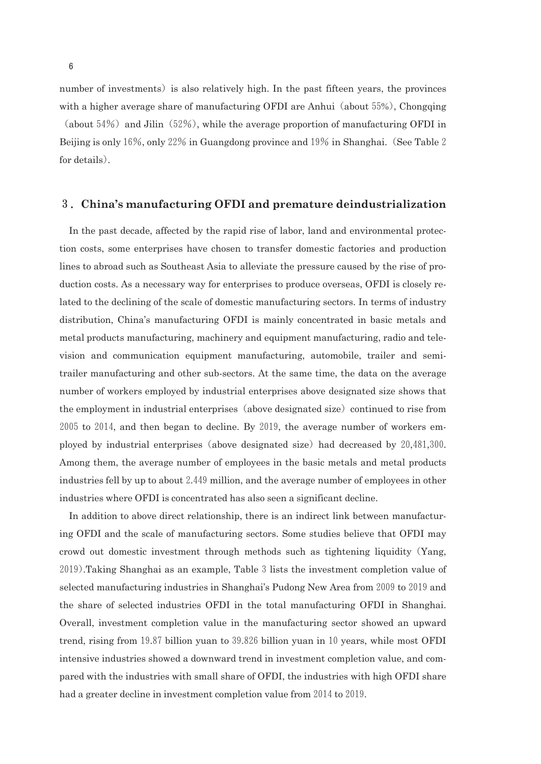number of investments) is also relatively high. In the past fifteen years, the provinces with a higher average share of manufacturing OFDI are Anhui (about  $55\%$ ), Chongqing (about  $54\%$ ) and Jilin (52%), while the average proportion of manufacturing OFDI in Beijing is only 16%, only 22% in Guangdong province and 19% in Shanghai. (See Table 2) for details).

### 3.**China's manufacturing OFDI and premature deindustrialization**

In the past decade, affected by the rapid rise of labor, land and environmental protection costs, some enterprises have chosen to transfer domestic factories and production lines to abroad such as Southeast Asia to alleviate the pressure caused by the rise of production costs. As a necessary way for enterprises to produce overseas, OFDI is closely related to the declining of the scale of domestic manufacturing sectors. In terms of industry distribution, China's manufacturing OFDI is mainly concentrated in basic metals and metal products manufacturing, machinery and equipment manufacturing, radio and television and communication equipment manufacturing, automobile, trailer and semitrailer manufacturing and other subsectors. At the same time, the data on the average number of workers employed by industrial enterprises above designated size shows that the employment in industrial enterprises (above designated size) continued to rise from  $2005$  to  $2014$ , and then began to decline. By  $2019$ , the average number of workers employed by industrial enterprises(above designated size)had decreased by 20,481,300. Among them, the average number of employees in the basic metals and metal products industries fell by up to about 2.449 million, and the average number of employees in other industries where OFDI is concentrated has also seen a significant decline.

In addition to above direct relationship, there is an indirect link between manufacturing OFDI and the scale of manufacturing sectors. Some studies believe that OFDI may crowd out domestic investment through methods such as tightening liquidity(Yang, 2019).Taking Shanghai as an example, Table3lists the investment completion value of selected manufacturing industries in Shanghai's Pudong New Area from 2009 to 2019 and the share of selected industries OFDI in the total manufacturing OFDI in Shanghai. Overall, investment completion value in the manufacturing sector showed an upward trend, rising from 19.87 billion yuan to  $39.826$  billion yuan in 10 years, while most OFDI intensive industries showed a downward trend in investment completion value, and compared with the industries with small share of OFDI, the industries with high OFDI share had a greater decline in investment completion value from 2014 to 2019.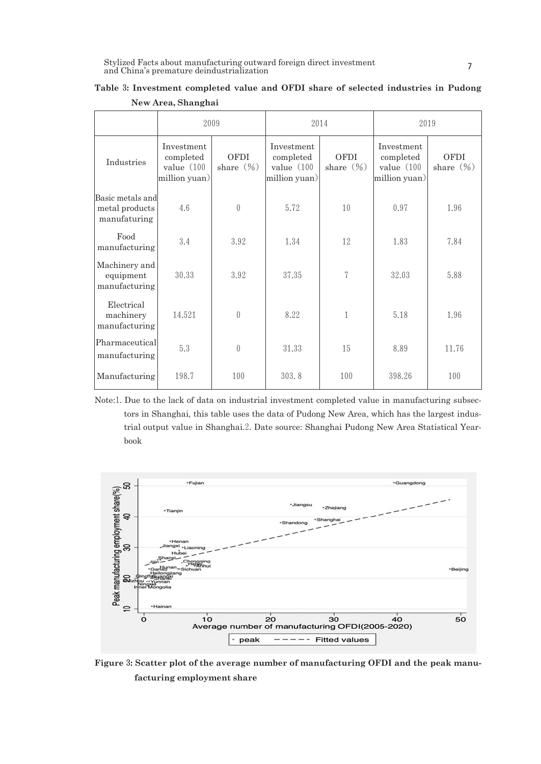|                                                    |                                                           | 2009                 |                                                          | 2014                        | 2019                                                      |                      |  |
|----------------------------------------------------|-----------------------------------------------------------|----------------------|----------------------------------------------------------|-----------------------------|-----------------------------------------------------------|----------------------|--|
| Industries                                         | Investment<br>completed<br>value $(100)$<br>million yuan) | OFDI<br>share $(\%)$ | Investment<br>completed<br>value $(100$<br>million yuan) | <b>OFDI</b><br>share $(\%)$ | Investment<br>completed<br>value $(100)$<br>million yuan) | OFDI<br>share $(\%)$ |  |
| Basic metals and<br>metal products<br>manufaturing | 4.6                                                       | $\left( \right)$     | 5.72                                                     | 10                          | 0.97                                                      | 1.96                 |  |
| Food<br>manufacturing                              | 3.4                                                       | 3.92                 | 1.34                                                     | 12                          | 1.83                                                      | 7.84                 |  |
| Machinery and<br>equipment<br>manufacturing        | 30.33                                                     | 3.92                 | 37.35                                                    | 7                           | 32.03                                                     | 5.88                 |  |
| Electrical<br>machinery<br>manufacturing           | 14.521                                                    | $\overline{0}$       | 8.22                                                     | 1                           | 5.18                                                      | 1.96                 |  |
| Pharmaceutical<br>manufacturing                    | 5.3                                                       | $\theta$             | 31.33                                                    | 15                          | 8.89                                                      | 11.76                |  |
| Manufacturing                                      | 198.7                                                     | 100                  | 303.8                                                    | 100                         | 398.26                                                    | 100                  |  |

| Table 3: Investment completed value and OFDI share of selected industries in Pudong |  |  |  |  |
|-------------------------------------------------------------------------------------|--|--|--|--|
| New Area, Shanghai                                                                  |  |  |  |  |

Note:1. Due to the lack of data on industrial investment completed value in manufacturing subsectors in Shanghai, this table uses the data of Pudong New Area, which has the largest industrial output value in Shanghai.2. Date source: Shanghai Pudong New Area Statistical Yearbook



**Figure**3**: Scatter plot of the average number of manufacturing OFDI and the peak manufacturing employment share**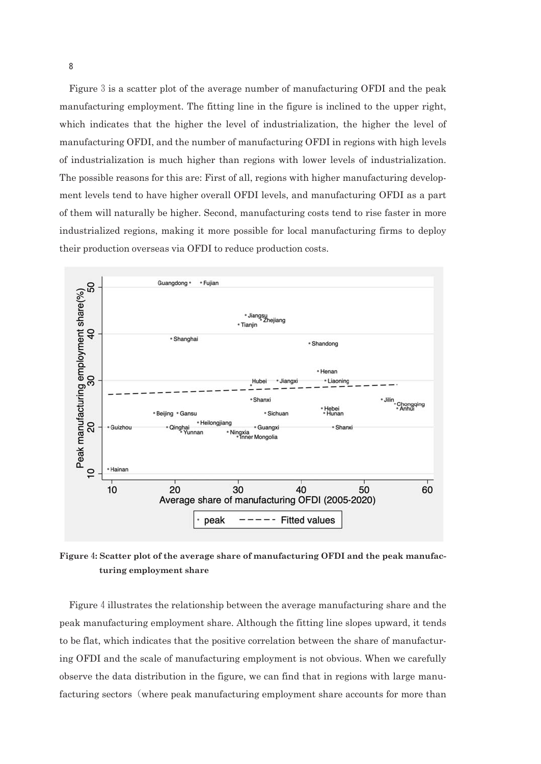Figure 3 is a scatter plot of the average number of manufacturing OFDI and the peak manufacturing employment. The fitting line in the figure is inclined to the upper right, which indicates that the higher the level of industrialization, the higher the level of manufacturing OFDI, and the number of manufacturing OFDI in regions with high levels of industrialization is much higher than regions with lower levels of industrialization. The possible reasons for this are: First of all, regions with higher manufacturing development levels tend to have higher overall OFDI levels, and manufacturing OFDI as a part of them will naturally be higher. Second, manufacturing costs tend to rise faster in more industrialized regions, making it more possible for local manufacturing firms to deploy their production overseas via OFDI to reduce production costs.



**Figure**4**: Scatter plot of the average share of manufacturing OFDI and the peak manufacturing employment share**

Figure 4 illustrates the relationship between the average manufacturing share and the peak manufacturing employment share. Although the fitting line slopes upward, it tends to be flat, which indicates that the positive correlation between the share of manufacturing OFDI and the scale of manufacturing employment is not obvious. When we carefully observe the data distribution in the figure, we can find that in regions with large manufacturing sectors (where peak manufacturing employment share accounts for more than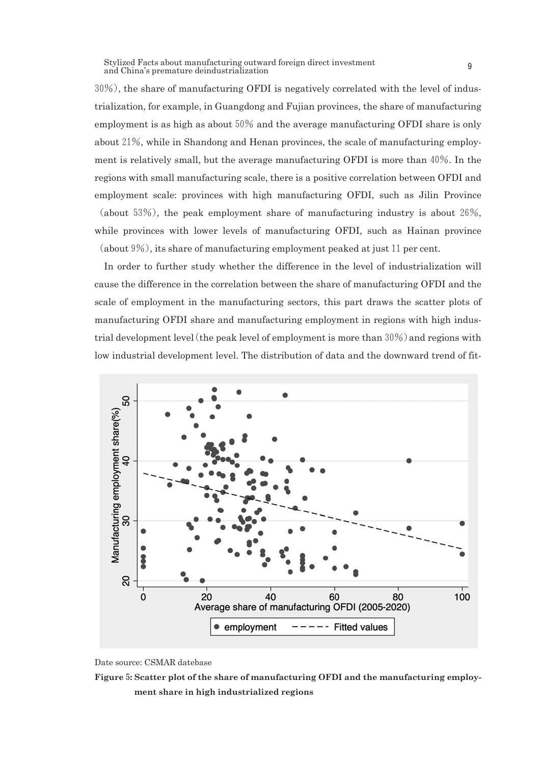30%), the share of manufacturing OFDI is negatively correlated with the level of industrialization, for example, in Guangdong and Fujian provinces, the share of manufacturing employment is as high as about  $50\%$  and the average manufacturing OFDI share is only about21%, while in Shandong and Henan provinces, the scale of manufacturing employment is relatively small, but the average manufacturing OFDI is more than40%. In the regions with small manufacturing scale, there is a positive correlation between OFDI and employment scale: provinces with high manufacturing OFDI, such as Jilin Province (about 53%), the peak employment share of manufacturing industry is about 26%, while provinces with lower levels of manufacturing OFDI, such as Hainan province

(about  $9\%$ ), its share of manufacturing employment peaked at just 11 per cent.

In order to further study whether the difference in the level of industrialization will cause the difference in the correlation between the share of manufacturing OFDI and the scale of employment in the manufacturing sectors, this part draws the scatter plots of manufacturing OFDI share and manufacturing employment in regions with high industrial development level (the peak level of employment is more than  $30\%$ ) and regions with low industrial development level. The distribution of data and the downward trend of fit-



Date source: CSMAR datebase

**Figure**5**: Scatter plot of the share of manufacturing OFDI and the manufacturing employment share in high industrialized regions**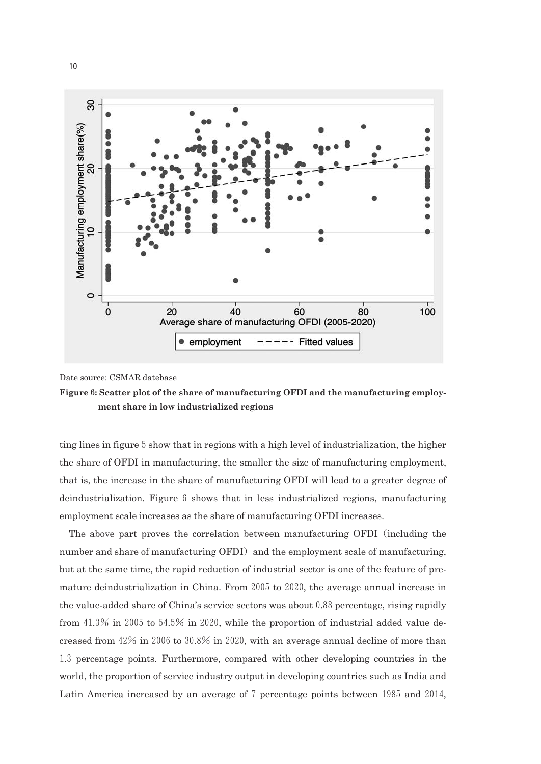

Date source: CSMAR datebase



ting lines in figure 5 show that in regions with a high level of industrialization, the higher the share of OFDI in manufacturing, the smaller the size of manufacturing employment, that is, the increase in the share of manufacturing OFDI will lead to a greater degree of deindustrialization. Figure 6 shows that in less industrialized regions, manufacturing employment scale increases as the share of manufacturing OFDI increases.

The above part proves the correlation between manufacturing OFDI(including the number and share of manufacturing OFDI) and the employment scale of manufacturing, but at the same time, the rapid reduction of industrial sector is one of the feature of premature deindustrialization in China. From 2005 to 2020, the average annual increase in the value-added share of China's service sectors was about  $0.88$  percentage, rising rapidly from  $41.3\%$  in 2005 to  $54.5\%$  in 2020, while the proportion of industrial added value decreased from  $42\%$  in  $2006$  to  $30.8\%$  in  $2020$ , with an average annual decline of more than 1.3 percentage points. Furthermore, compared with other developing countries in the world, the proportion of service industry output in developing countries such as India and Latin America increased by an average of 7 percentage points between 1985 and 2014,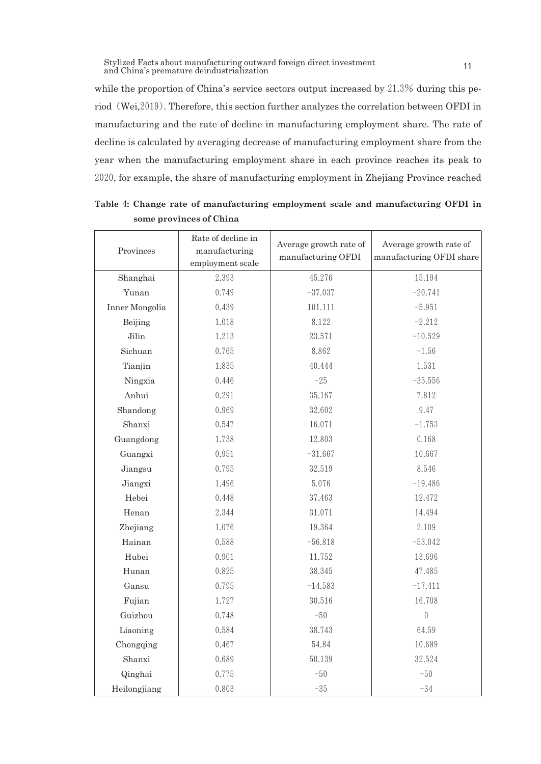while the proportion of China's service sectors output increased by 21.3% during this period(Wei,2019). Therefore, this section further analyzes the correlation between OFDI in manufacturing and the rate of decline in manufacturing employment share. The rate of decline is calculated by averaging decrease of manufacturing employment share from the year when the manufacturing employment share in each province reaches its peak to 2020, for example, the share of manufacturing employment in Zhejiang Province reached

| Provinces      | Rate of decline in<br>manufacturing<br>employment scale | Average growth rate of<br>manufacturing OFDI | Average growth rate of<br>manufacturing OFDI share |
|----------------|---------------------------------------------------------|----------------------------------------------|----------------------------------------------------|
| Shanghai       | 2.393                                                   | 45.276                                       | 15.194                                             |
| Yunan          | 0.749                                                   | $-37.037$                                    | $-20.741$                                          |
| Inner Mongolia | 0.439                                                   | 101.111                                      | $-5.951$                                           |
| Beijing        | 1.018                                                   | 8.122                                        | $-2.212$                                           |
| Jilin          | 1.213                                                   | 23.571                                       | $-10.529$                                          |
| Sichuan        | 0.765                                                   | 8.862                                        | $-1.56$                                            |
| Tianjin        | 1.835                                                   | 40.444                                       | 1.531                                              |
| Ningxia        | 0.446                                                   | $-25$                                        | $-35.556$                                          |
| Anhui          | 0.291                                                   | 35.167                                       | 7.812                                              |
| Shandong       | 0.969                                                   | 32.602                                       | 9.47                                               |
| Shanxi         | 0.547                                                   | 16.071                                       | $-1.753$                                           |
| Guangdong      | 1.738                                                   | 12.803                                       | 0.168                                              |
| Guangxi        | 0.951                                                   | $-31.667$                                    | 10.667                                             |
| Jiangsu        | 0.795                                                   | 32.519                                       | 8.546                                              |
| Jiangxi        | 1.496                                                   | 5.076                                        | $-19.486$                                          |
| Hebei          | 0.448                                                   | 37.463                                       | 12.472                                             |
| Henan          | 2.344                                                   | 31.071                                       | 14.494                                             |
| Zhejiang       | 1.076                                                   | 19.364                                       | 2.109                                              |
| Hainan         | 0.588                                                   | $-56.818$                                    | $-53.042$                                          |
| Hubei          | 0.901                                                   | 11.752                                       | 13.696                                             |
| Hunan          | 0.825                                                   | 38.345                                       | 47.485                                             |
| Gansu          | 0.795                                                   | $-14.583$                                    | $-17.411$                                          |
| Fujian         | 1.727                                                   | 30.516                                       | 16.708                                             |
| Guizhou        | 0.748                                                   | $-50$                                        | $\overline{0}$                                     |
| Liaoning       | 0.584                                                   | 38.743                                       | 64.59                                              |
| Chongqing      | 0.467                                                   | 54.84                                        | 10.689                                             |
| Shanxi         | 0.689                                                   | 50.139                                       | 32.524                                             |
| Qinghai        | 0.775                                                   | $-50$                                        | $-50$                                              |
| Heilongjiang   | 0.803                                                   | $-35$                                        | $-34$                                              |

**Table** 4**: Change rate of manufacturing employment scale and manufacturing OFDI in some provinces of China**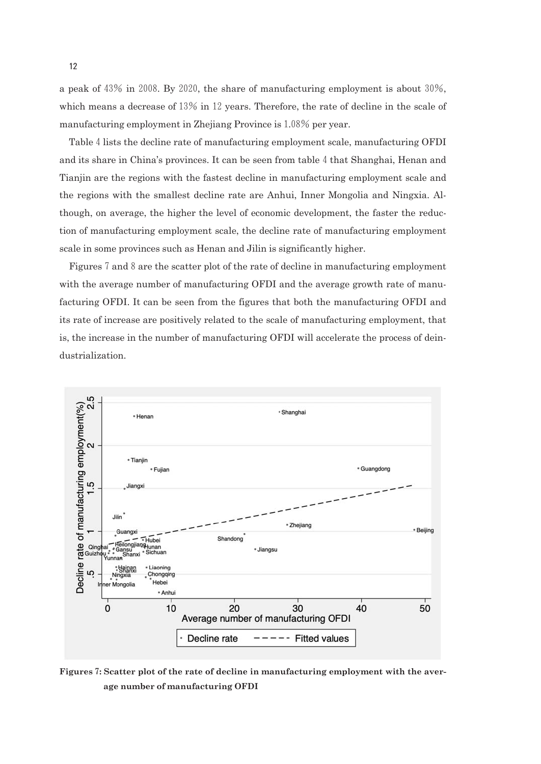a peak of  $43\%$  in 2008. By 2020, the share of manufacturing employment is about  $30\%$ , which means a decrease of  $13\%$  in 12 years. Therefore, the rate of decline in the scale of manufacturing employment in Zhejiang Province is 1.08% per year.

Table 4 lists the decline rate of manufacturing employment scale, manufacturing OFDI and its share in China's provinces. It can be seen from table 4 that Shanghai, Henan and Tianjin are the regions with the fastest decline in manufacturing employment scale and the regions with the smallest decline rate are Anhui, Inner Mongolia and Ningxia. Although, on average, the higher the level of economic development, the faster the reduction of manufacturing employment scale, the decline rate of manufacturing employment scale in some provinces such as Henan and Jilin is significantly higher.

Figures 7 and 8 are the scatter plot of the rate of decline in manufacturing employment with the average number of manufacturing OFDI and the average growth rate of manufacturing OFDI. It can be seen from the figures that both the manufacturing OFDI and its rate of increase are positively related to the scale of manufacturing employment, that is, the increase in the number of manufacturing OFDI will accelerate the process of deindustrialization.



**Figures**7**: Scatter plot of the rate of decline in manufacturing employment with the average number of manufacturing OFDI**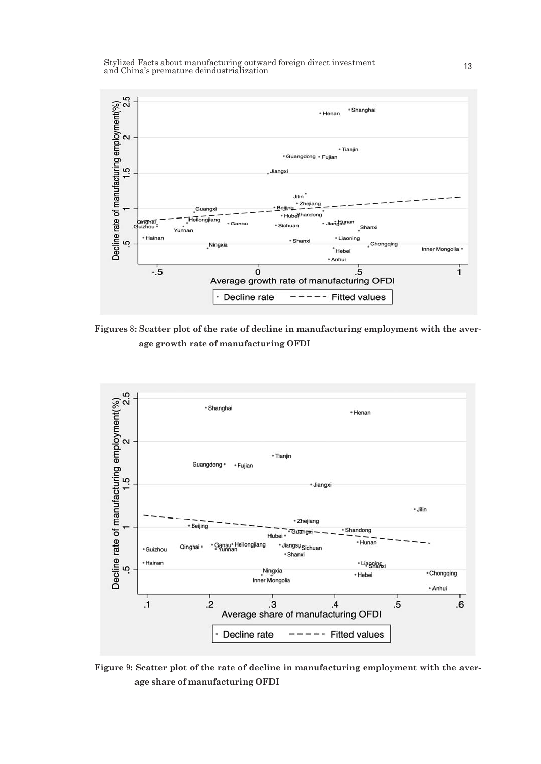

**Figures**8**: Scatter plot of the rate of decline in manufacturing employment with the average growth rate of manufacturing OFDI**



**Figure**9**: Scatter plot of the rate of decline in manufacturing employment with the average share of manufacturing OFDI**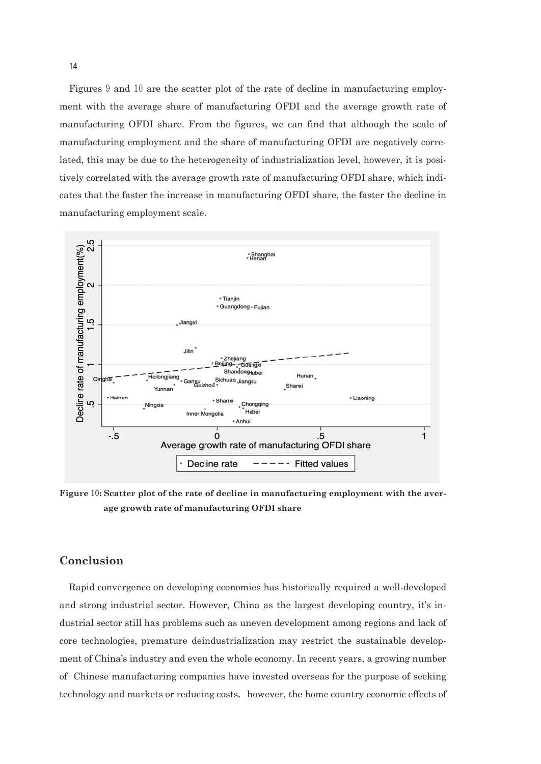Figures 9 and 10 are the scatter plot of the rate of decline in manufacturing employment with the average share of manufacturing OFDI and the average growth rate of manufacturing OFDI share. From the figures, we can find that although the scale of manufacturing employment and the share of manufacturing OFDI are negatively correlated, this may be due to the heterogeneity of industrialization level, however, it is positively correlated with the average growth rate of manufacturing OFDI share, which indicates that the faster the increase in manufacturing OFDI share, the faster the decline in manufacturing employment scale.



**Figure**10**: Scatter plot of the rate of decline in manufacturing employment with the average growth rate of manufacturing OFDI share**

### **Conclusion**

Rapid convergence on developing economies has historically required a well-developed and strong industrial sector. However, China as the largest developing country, it's industrial sector still has problems such as uneven development among regions and lack of core technologies, premature deindustrialization may restrict the sustainable development of China's industry and even the whole economy. In recent years, a growing number of Chinese manufacturing companies have invested overseas for the purpose of seeking technology and markets or reducing costs, however, the home country economic effects of